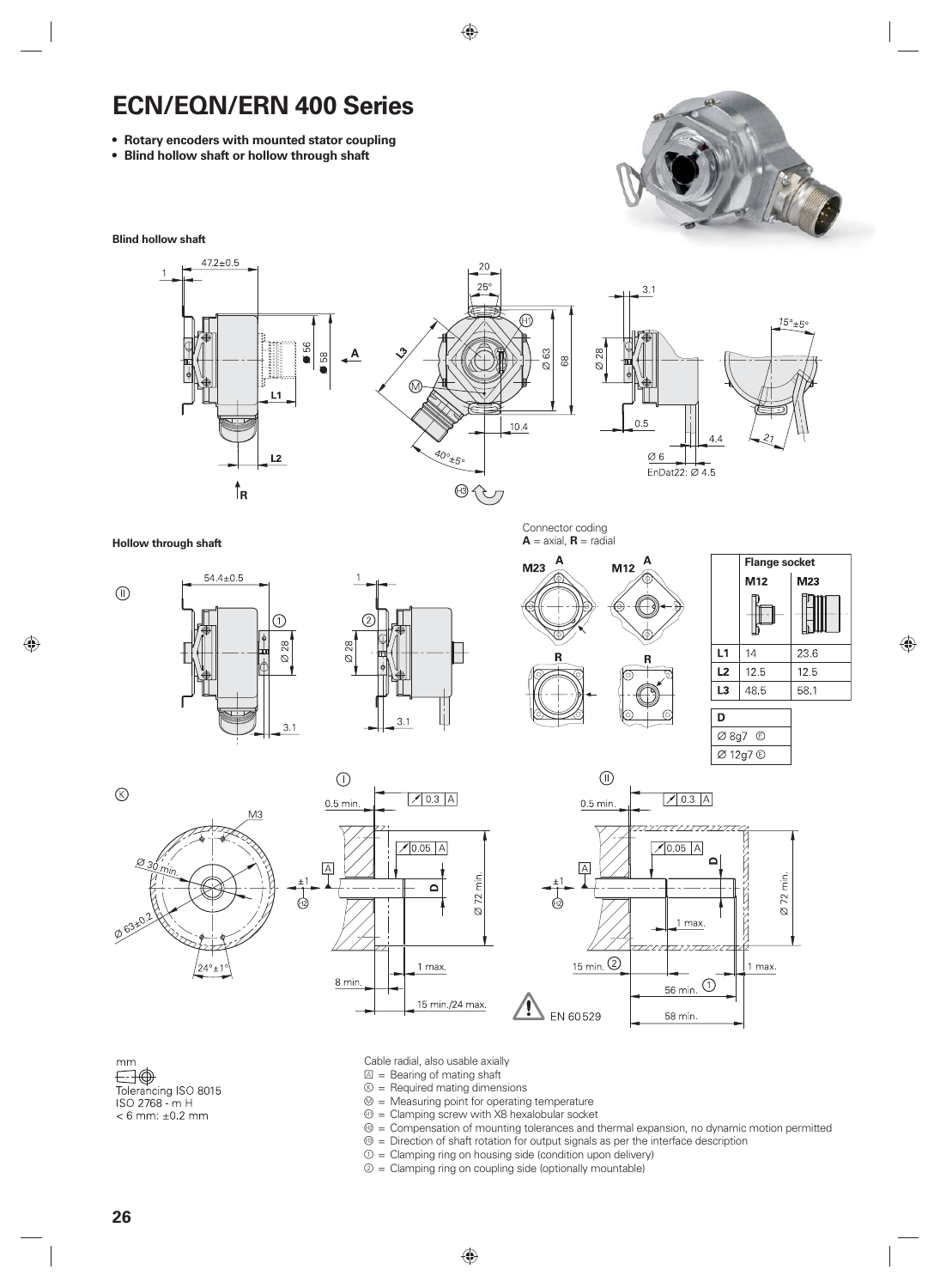## **ECN/EQN/ERN 400 Series**

- **Rotary encoders with mounted stator coupling**
- **Blind hollow shaft or hollow through shaft**



**Blind hollow shaft**



**Hollow through shaft**



T

28

 $\alpha$ 

 $3.1$ 



Connector coding  $A = axial$ ,  $R = radial$ 





Ø 8g7 ©







mm  $\bigoplus$ <br>Tolerancing ISO 8015 ISO 2768 - m H  $< 6$  mm:  $\pm 0.2$  mm

- Cable radial, also usable axially
- $\boxed{\triangle}$  = Bearing of mating shaft
- $\circledR$  = Required mating dimensions
- $\mathcal{D}$  = Measuring point for operating temperature
- $<sup>①</sup>$  = Clamping screw with X8 hexalobular socket</sup>
- $<sup>②</sup> =$  Compensation of mounting tolerances and thermal expansion, no dynamic motion permitted</sup>
- $<sup>③</sup>$  = Direction of shaft rotation for output signals as per the interface description</sup>
- $0 =$  Clamping ring on housing side (condition upon delivery)
- $2 =$  Clamping ring on coupling side (optionally mountable)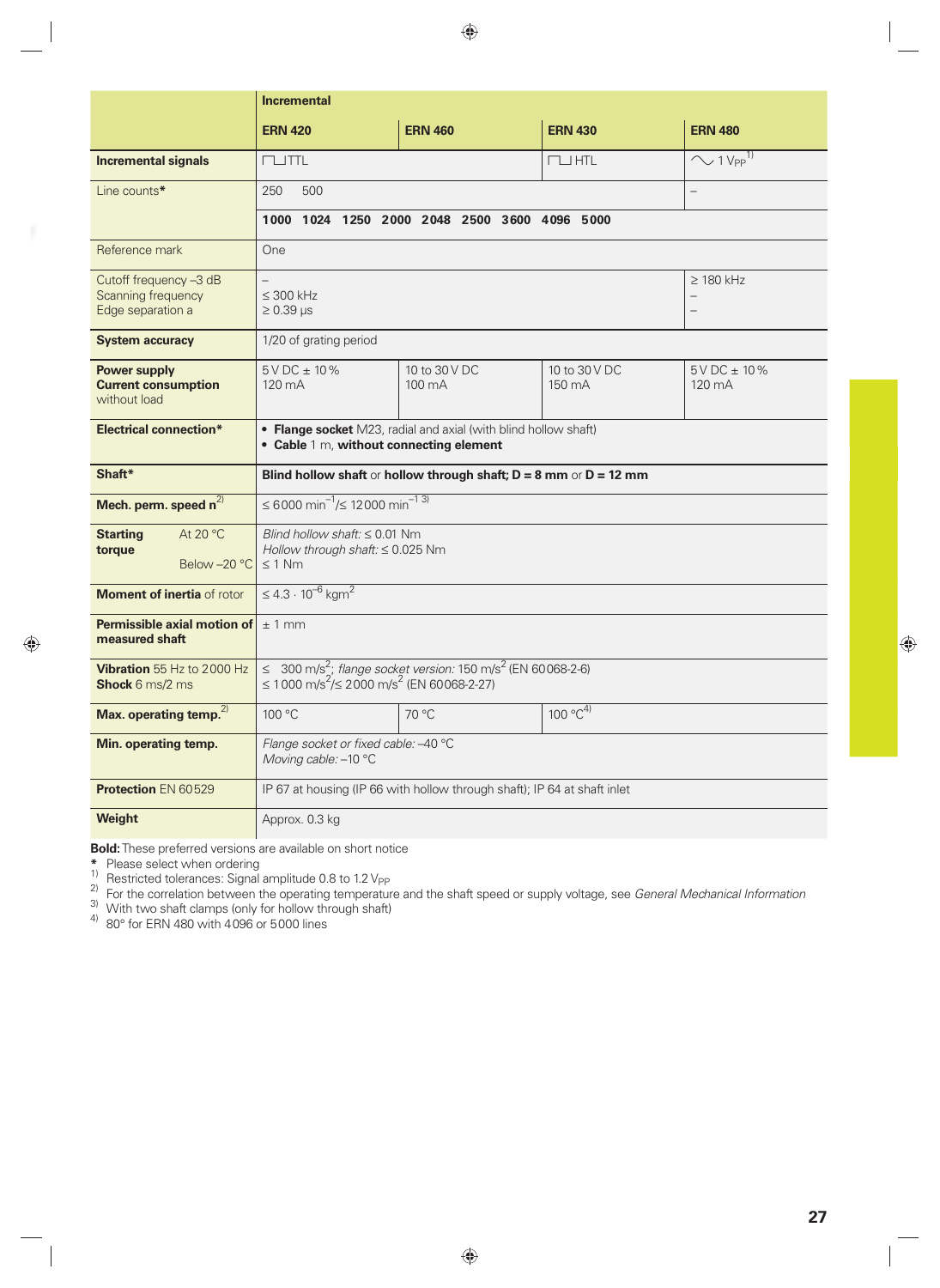|                                                                   | <b>Incremental</b>                                                                                                                                      |                         |                         |                                                                        |  |
|-------------------------------------------------------------------|---------------------------------------------------------------------------------------------------------------------------------------------------------|-------------------------|-------------------------|------------------------------------------------------------------------|--|
|                                                                   | <b>ERN 420</b>                                                                                                                                          | <b>ERN 460</b>          | <b>ERN 430</b>          | <b>ERN 480</b>                                                         |  |
| <b>Incremental signals</b>                                        | $T \cup TTL$                                                                                                                                            |                         | $\Box$ HTL              | $\sim$ 1 V <sub>PP</sub> $^{\overline{1}}$                             |  |
| Line counts*                                                      | 500<br>250                                                                                                                                              |                         |                         |                                                                        |  |
|                                                                   | 1000 1024 1250 2000 2048 2500 3600 4096 5000                                                                                                            |                         |                         |                                                                        |  |
| Reference mark                                                    | One                                                                                                                                                     |                         |                         |                                                                        |  |
| Cutoff frequency -3 dB<br>Scanning frequency<br>Edge separation a | $\leq$ 300 kHz<br>$\geq 0.39$ µs                                                                                                                        |                         |                         | $\geq$ 180 kHz<br>$\overline{\phantom{0}}$<br>$\overline{\phantom{0}}$ |  |
| <b>System accuracy</b>                                            | 1/20 of grating period                                                                                                                                  |                         |                         |                                                                        |  |
| <b>Power supply</b><br><b>Current consumption</b><br>without load | $5VDC \pm 10\%$<br>120 mA                                                                                                                               | 10 to 30 V DC<br>100 mA | 10 to 30 V DC<br>150 mA | $5VDC \pm 10\%$<br>120 mA                                              |  |
| <b>Electrical connection*</b>                                     | • Flange socket M23, radial and axial (with blind hollow shaft)<br>• Cable 1 m, without connecting element                                              |                         |                         |                                                                        |  |
| Shaft*                                                            | Blind hollow shaft or hollow through shaft; $D = 8$ mm or $D = 12$ mm                                                                                   |                         |                         |                                                                        |  |
| Mech. perm. speed $n^{2}$                                         | ≤ 6000 min <sup>-1</sup> /≤ 12000 min <sup>-1 3)</sup>                                                                                                  |                         |                         |                                                                        |  |
| <b>Starting</b><br>At 20 $\degree$ C<br>torque<br>Below-20 °C     | Blind hollow shaft: $\leq 0.01$ Nm<br>Hollow through shaft: ≤ 0.025 Nm<br>$\leq 1$ Nm                                                                   |                         |                         |                                                                        |  |
| Moment of inertia of rotor                                        | $\leq 4.3 \cdot 10^{-6}$ kgm <sup>2</sup>                                                                                                               |                         |                         |                                                                        |  |
| Permissible axial motion of<br>measured shaft                     | $±1$ mm                                                                                                                                                 |                         |                         |                                                                        |  |
| Vibration 55 Hz to 2000 Hz<br><b>Shock</b> 6 ms/2 ms              | ≤ 300 m/s <sup>2</sup> ; flange socket version: 150 m/s <sup>2</sup> (EN 60068-2-6)<br>≤ 1000 m/s <sup>2</sup> /≤ 2000 m/s <sup>2</sup> (EN 60068-2-27) |                         |                         |                                                                        |  |
| Max. operating temp. <sup>2)</sup>                                | 100 °C                                                                                                                                                  | 70 °C                   | $100 °C^{4}$            |                                                                        |  |
| Min. operating temp.                                              | Flange socket or fixed cable: -40 °C<br>Moving cable: -10 °C                                                                                            |                         |                         |                                                                        |  |
| Protection EN 60529                                               | IP 67 at housing (IP 66 with hollow through shaft); IP 64 at shaft inlet                                                                                |                         |                         |                                                                        |  |
| Weight                                                            | Approx. 0.3 kg                                                                                                                                          |                         |                         |                                                                        |  |

**Bold:** These preferred versions are available on short notice

\* Please select when ordering<br><sup>1)</sup> Restricted tolerances: Signal amplitude 0.8 to 1.2 V<sub>PP</sub><br>2) For the correlation between the operating temperature and the shaft speed or supply voltage, see *General Mechanical Informatio* 

 $\frac{3}{1}$  With two shaft clamps (only for hollow through shaft)

 $4)$  80 $^{\circ}$  for ERN 480 with 4096 or 5000 lines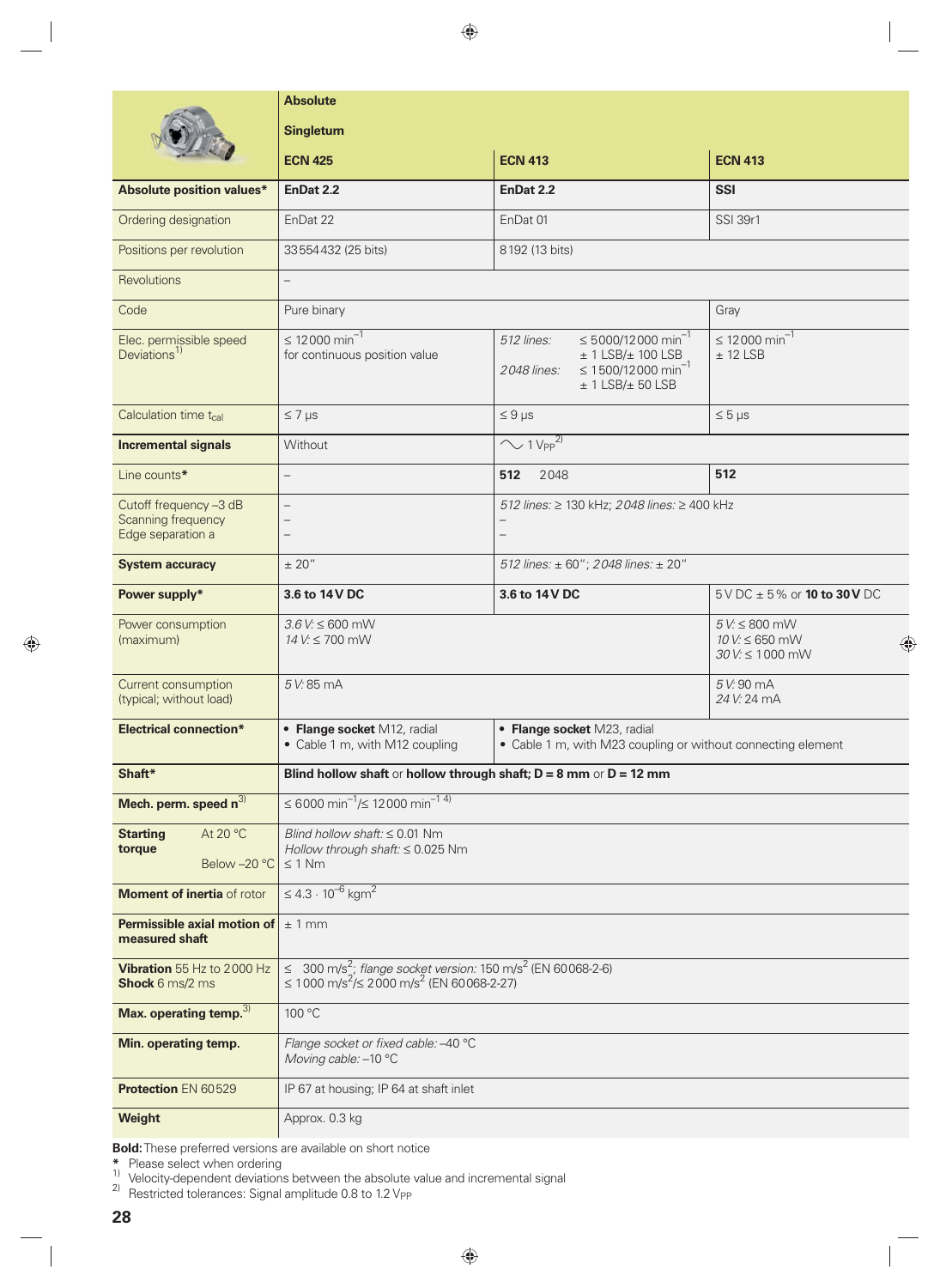|                                                                   | <b>Absolute</b>                                                                                                                                              |                                                                                                                                                            |                                                            |  |  |
|-------------------------------------------------------------------|--------------------------------------------------------------------------------------------------------------------------------------------------------------|------------------------------------------------------------------------------------------------------------------------------------------------------------|------------------------------------------------------------|--|--|
|                                                                   | <b>Singleturn</b>                                                                                                                                            |                                                                                                                                                            |                                                            |  |  |
|                                                                   | <b>ECN 425</b>                                                                                                                                               | <b>ECN 413</b>                                                                                                                                             | <b>ECN 413</b>                                             |  |  |
| <b>Absolute position values*</b>                                  | EnDat 2.2                                                                                                                                                    | EnDat 2.2                                                                                                                                                  | <b>SSI</b>                                                 |  |  |
| Ordering designation                                              | EnDat 22                                                                                                                                                     | EnDat 01                                                                                                                                                   | <b>SSI 39r1</b>                                            |  |  |
| Positions per revolution                                          | 33554432 (25 bits)<br>8192 (13 bits)                                                                                                                         |                                                                                                                                                            |                                                            |  |  |
| Revolutions                                                       | $\overline{\phantom{0}}$                                                                                                                                     |                                                                                                                                                            |                                                            |  |  |
| Code                                                              | Pure binary                                                                                                                                                  |                                                                                                                                                            | Gray                                                       |  |  |
| Elec. permissible speed<br>Deviations <sup>1)</sup>               | ≤ 12000 min <sup>-1</sup><br>for continuous position value                                                                                                   | $\leq 5000/12000$ min <sup>-1</sup><br>512 lines:<br>$±$ 1 LSB/ $±$ 100 LSB<br>$\leq 1500/12000$ min <sup>-1</sup><br>2048 lines:<br>$± 1$ LSB/ $± 50$ LSB | ≤ 12000 min <sup>-1</sup><br>$±$ 12 LSB                    |  |  |
| Calculation time t <sub>cal</sub>                                 | $\leq 7$ µs                                                                                                                                                  | $\leq 9$ µs                                                                                                                                                | $\leq 5 \,\mu s$                                           |  |  |
| <b>Incremental signals</b>                                        | Without                                                                                                                                                      | $\sim$ 1 V <sub>PP</sub> <sup>2)</sup>                                                                                                                     |                                                            |  |  |
| Line counts*                                                      | $\overline{\phantom{0}}$                                                                                                                                     | 512<br>2048                                                                                                                                                | 512                                                        |  |  |
| Cutoff frequency -3 dB<br>Scanning frequency<br>Edge separation a | $\overline{\phantom{0}}$<br>$\qquad \qquad -$<br>$\overline{\phantom{m}}$                                                                                    | 512 lines: ≥ 130 kHz; 2048 lines: ≥ 400 kHz<br>$\overline{\phantom{0}}$<br>$\qquad \qquad -$                                                               |                                                            |  |  |
| <b>System accuracy</b>                                            | ± 20"                                                                                                                                                        | 512 lines: ± 60"; 2048 lines: ± 20"                                                                                                                        |                                                            |  |  |
| Power supply*                                                     | 3.6 to 14 V DC                                                                                                                                               | 3.6 to 14 V DC                                                                                                                                             | $5 \vee$ DC $\pm$ 5% or <b>10 to 30 V</b> DC               |  |  |
| Power consumption<br>(maximum)                                    | $3.6$ V: $\leq 600$ mW<br>14 V: ≤ 700 mW                                                                                                                     |                                                                                                                                                            | $5 V \le 800$ mW<br>$10 V: \leq 650$ mW<br>30 V: ≤ 1000 mW |  |  |
| Current consumption<br>(typical; without load)                    | 5 V: 85 mA                                                                                                                                                   |                                                                                                                                                            | 5 V: 90 mA<br>24 V: 24 mA                                  |  |  |
| <b>Electrical connection*</b>                                     | • Flange socket M12, radial<br>• Flange socket M23, radial<br>• Cable 1 m, with M12 coupling<br>• Cable 1 m, with M23 coupling or without connecting element |                                                                                                                                                            |                                                            |  |  |
| Shaft*                                                            | Blind hollow shaft or hollow through shaft; $D = 8$ mm or $D = 12$ mm                                                                                        |                                                                                                                                                            |                                                            |  |  |
| Mech. perm. speed $n^{3}$                                         | ≤ 6000 min <sup>-1</sup> /≤ 12000 min <sup>-1 4)</sup>                                                                                                       |                                                                                                                                                            |                                                            |  |  |
| At 20 °C<br><b>Starting</b><br>torque<br>Below -20 °C             | Blind hollow shaft: $\leq 0.01$ Nm<br>Hollow through shaft: ≤ 0.025 Nm<br>$\leq 1$ Nm                                                                        |                                                                                                                                                            |                                                            |  |  |
| Moment of inertia of rotor                                        | $\leq 4.3 \cdot 10^{-6}$ kgm <sup>2</sup>                                                                                                                    |                                                                                                                                                            |                                                            |  |  |
| Permissible axial motion of<br>measured shaft                     | $±1$ mm                                                                                                                                                      |                                                                                                                                                            |                                                            |  |  |
| Vibration 55 Hz to 2000 Hz<br>Shock 6 ms/2 ms                     | ≤ 300 m/s <sup>2</sup> ; flange socket version: 150 m/s <sup>2</sup> (EN 60068-2-6)<br>≤ 1 000 m/s <sup>2</sup> /≤ 2 000 m/s <sup>2</sup> (EN 60068-2-27)    |                                                                                                                                                            |                                                            |  |  |
| Max. operating temp. <sup>3)</sup>                                | 100 °C                                                                                                                                                       |                                                                                                                                                            |                                                            |  |  |
| Min. operating temp.                                              | Flange socket or fixed cable: -40 °C<br>Moving cable: -10 °C                                                                                                 |                                                                                                                                                            |                                                            |  |  |
| <b>Protection EN 60529</b>                                        | IP 67 at housing; IP 64 at shaft inlet                                                                                                                       |                                                                                                                                                            |                                                            |  |  |
| Weight                                                            | Approx. 0.3 kg                                                                                                                                               |                                                                                                                                                            |                                                            |  |  |
|                                                                   |                                                                                                                                                              |                                                                                                                                                            |                                                            |  |  |

**Bold:** These preferred versions are available on short notice

**\*** Please select when ordering 1) Velocity-dependent deviations between the absolute value and incremental signal

 $^{2)}$  Restricted tolerances: Signal amplitude 0.8 to 1.2 V<sub>PP</sub>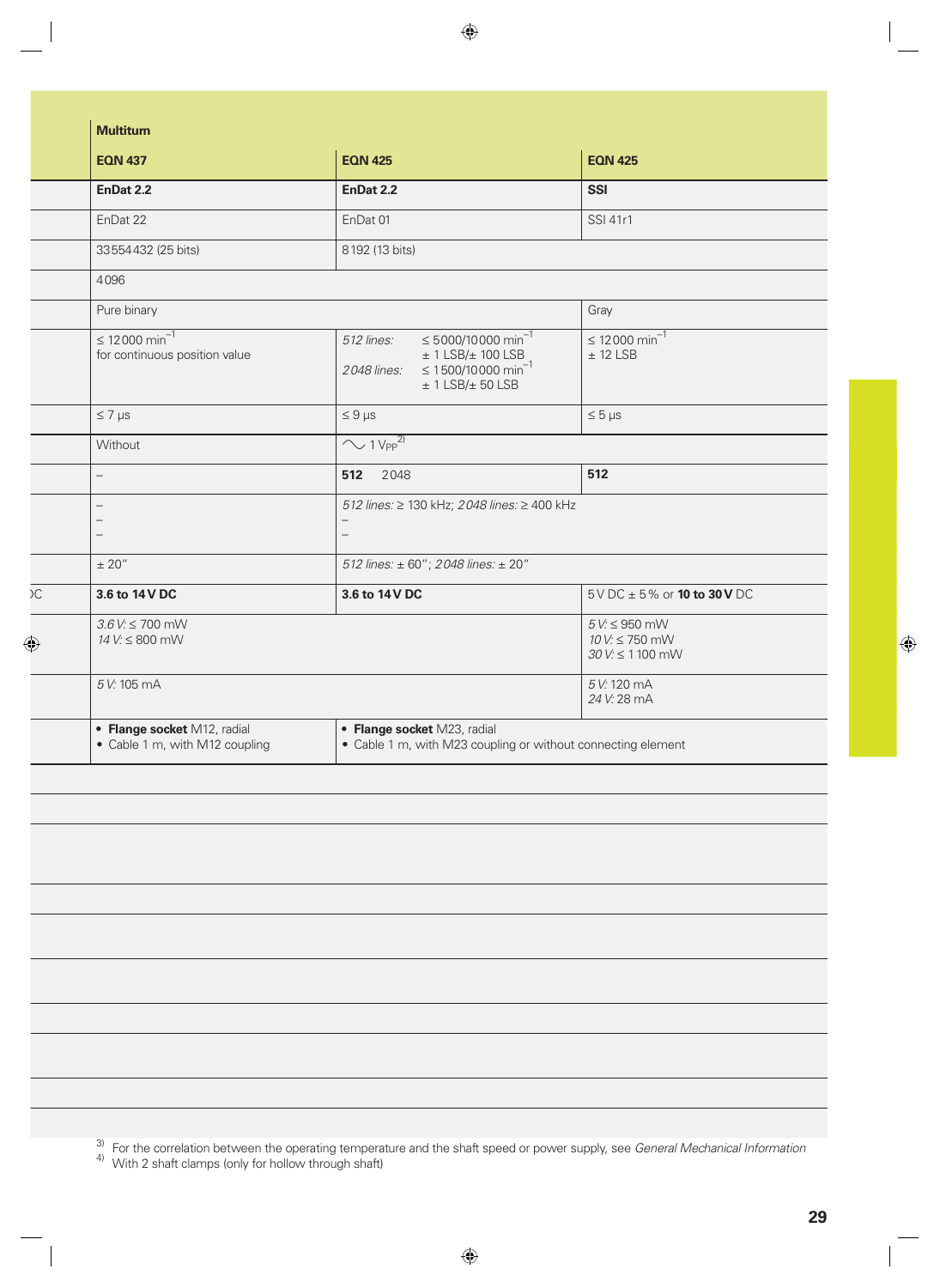| <b>EQN 437</b>                                                | <b>EQN 425</b>                                                                                                                                            | <b>EQN 425</b>                                           |
|---------------------------------------------------------------|-----------------------------------------------------------------------------------------------------------------------------------------------------------|----------------------------------------------------------|
| EnDat 2.2                                                     | EnDat 2.2                                                                                                                                                 | <b>SSI</b>                                               |
|                                                               |                                                                                                                                                           |                                                          |
| EnDat 22                                                      | EnDat 01                                                                                                                                                  | <b>SSI 41r1</b>                                          |
| 33554432 (25 bits)                                            | 8192 (13 bits)                                                                                                                                            |                                                          |
| 4096                                                          |                                                                                                                                                           |                                                          |
| Pure binary                                                   |                                                                                                                                                           | Gray                                                     |
| $\leq 12000 \min^{-1}$<br>for continuous position value       | $\leq 5000/10000 \text{ min}^{-1}$<br>512 lines:<br>$± 1$ LSB/ $± 100$ LSB<br>$\leq$ 1500/10000 min <sup>-1</sup><br>2048 lines:<br>$± 1$ LSB/ $± 50$ LSB | ≤ 12000 min <sup>-1</sup><br>$± 12$ LSB                  |
| $\leq 7 \,\mu s$                                              | $\leq 9 \,\mu s$                                                                                                                                          | $\leq 5 \,\mu s$                                         |
| Without                                                       | $\sqrt{1 V_{PP}^2}$                                                                                                                                       |                                                          |
| $\overline{\phantom{0}}$                                      | 2048<br>512                                                                                                                                               | 512                                                      |
|                                                               | 512 lines: ≥ 130 kHz; 2048 lines: ≥ 400 kHz                                                                                                               |                                                          |
| $\overline{\phantom{a}}$<br>$\overline{\phantom{0}}$          | $\qquad \qquad -$<br>$\overline{\phantom{0}}$                                                                                                             |                                                          |
| $\pm$ 20"                                                     | 512 lines: ± 60"; 2048 lines: ± 20"                                                                                                                       |                                                          |
| 3.6 to 14 V DC                                                | 3.6 to 14 V DC                                                                                                                                            | $5 \vee$ DC $\pm$ 5% or <b>10 to 30 V</b> DC             |
| $3.6$ V: $\leq 700$ mW<br>14 V: ≤ 800 mW                      |                                                                                                                                                           | $5 V \le 950$ mW<br>10 V: ≤ 750 mW<br>$30 V \le 1100$ mW |
| 5 V: 105 mA                                                   |                                                                                                                                                           | 5 V: 120 mA<br>24 V: 28 mA                               |
| • Flange socket M12, radial<br>• Cable 1 m, with M12 coupling | • Flange socket M23, radial<br>• Cable 1 m, with M23 coupling or without connecting element                                                               |                                                          |

3) For the correlation between the operating temperature and the shaft speed or power supply, see *General Mechanical Information*

<sup>4)</sup> With 2 shaft clamps (only for hollow through shaft)